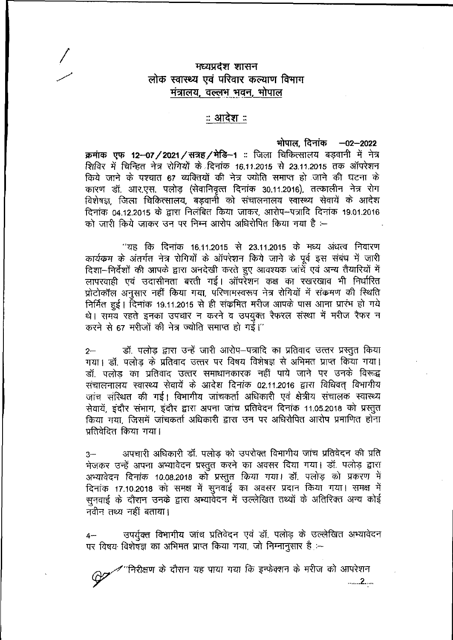## मध्यप्रदेश शासन लोक स्वास्थ्य एवं परिवार कल्याण विभाग मंत्रालय. वल्लभ भवन. भोपाल

## ः आदेश ः

भोपाल दिनांक -02-2022 क्रमांक एफ 12-07/2021/सत्रह/मेडि-1 :: जिला चिकित्सालय बड़वानी में नेत्र शिविर में चिन्हित नेत्र रोगियों के दिनांक 16.11.2015 से 23.11.2015 तक ऑपरेशन किये जाने के पश्चात 67 व्यक्तियों की नेत्र ज्योति समाप्त हो जाने की घटना के कारण डॉ. आर.एस. पलोड (सेवानिवृत्त दिनांक 30.11.2016), तत्कालीन नेत्र रोग विशेषज्ञ, जिला चिकित्सालय, बड़वानी को संचालनालय स्वास्थ्य सेवायें के आदेश दिनांक 04.12.2015 के द्वारा निलंबित किया जाकर, आरोप-पत्रादि दिनांक 19.01.2016 को जारी किये जाकर उन पर निम्न आरोप अधिरोपित किया गया है :--

''यह कि दिनांक 16.11.2015 से 23.11.2015 के मध्य अंधत्व निवारण कार्यकम के अंतर्गत नेत्र रोगियों के ऑपरेशन किये जाने के पूर्व इस संबंध में जारी दिशा-निर्देशों की आपके द्वारा अनदेखी करते हुए आवश्यक जांचें एवं अन्य तैयारियों में लापरवाही एवं उदासीनता बरती गई। ऑपरेशन कक्ष का रखरखाव भी निर्धारित प्रोटोकॉल अनुसार नहीं किया गया, परिणामस्वरूप नेत्र रोगियों में संक्रमण की स्थिति निर्मित हुई। दिनांक 19.11.2015 से ही संकमित मरीज आपके पास आना प्रारंभ हो गये थे। समय रहते इनका उपचार न करने व उपयुक्त रैफरल संस्था में मरीज रैफर न करने से 67 मरीजों की नेत्र ज्योति समाप्त हो गई।"

डॉ. पलोड़ द्वारा उन्हें जारी आरोप–पत्रादि का प्रतिवाद उत्तर प्रस्तुत किया  $2-$ गया। डॉ. पलोड़ के प्रतिवाद उत्तर पर विषय विशेषज्ञ से अभिमत प्राप्त किया गया। डॉ. पलोड का प्रतिवाद उत्तर समाधानकारक नहीं पाये जाने पर उनके विरूद्ध संचालनालय स्वास्थ्य सेवायें के आदेश दिनांक 02.11.2016 द्वारा विधिवत् विभागीय जांच संस्थित की गई। विभागीय जांचकर्ता अधिकारी एवं क्षेत्रीय संचालक स्वास्थ्य सेवायें, इंदौर संभाग, इंदौर द्वारा अपना जांच प्रतिवेदन दिनांक 11.05.2018 को प्रस्तुत किया गया, जिसमें जांचकर्ता अधिकारी द्वारा उन पर अधिरोपित आरोप प्रमाणित होना प्रतिवेदित किया गया।

अपचारी अधिकारी डॉ. पलोड को उपरोक्त विभागीय जांच प्रतिवेदन की प्रति  $3-$ भेजकर उन्हें अपना अभ्यावेदन प्रस्तुत करने का अवसर दिया गया। डॉ. पलोड़ द्वारा अभ्यावेदन दिनांक 10.08.2018 को प्रस्तुत किया गया। डॉ. पलोड़ को प्रकरण में दिनांक 17.10.2018 को समक्ष में सुनवाई का अवसर प्रदान किया गया। समक्ष में सुनवाई के दौरान उनके द्वारा अम्यार्वेदन में उल्लेखित तथ्यों के अतिरिक्त अन्य कोई नवीन तथ्य नहीं बताया।

उपर्युक्त विभागीय जांच प्रतिवेदन एवं डॉ. पलोड़ के उल्लेखित अभ्यावेदन पर विषय विशेषज्ञ का अभिमत प्राप्त किया गया, जो निम्नानुसार है :-

'निरीक्षण के दौरान यह पाया गया कि इन्फ़ेक्शन के मरीज को आपरेशन  $\ldots 2 \ldots$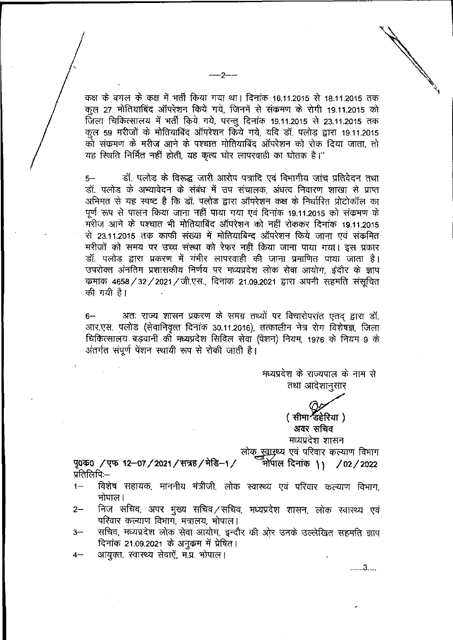कक्ष के बगल के कक्ष में भर्ती किया गया था। दिनांक 16.11.2015 से 18.11.2015 तक कल 27 मोतियाबिंद ऑपरेशन किये गये. जिनमें से संक्रमण के रोगी 19.11.2015 को कुल 27 मोतियाबिंद ऑपरेशन किये गये, जिनमें से संकमण<sup>ं</sup>के रोगी 19.11.2015 को<br>जिला चिकित्सालय में भर्ती किये गये, परन्तु दिनांक 19.11.2015 से 23.11.2015 तक rom Turbiching ने नता किया गये, परंगु मिनाक 19.11.2015 से 23.11.2015 राक<br>कुल 59 मरीजों के मोतियाबिंद ऑपरेशन किये गये, यदि डॉ. पलोड़ द्वारा 19.11.2015 हस के बगल के कक्ष में भर्ती किया गया था। दिनांक 1<br>हुल 27 मोतियाबिंद ऑपरेशन किये गये, जिनमें से संव<br>जला चिकित्सालय में भर्ती किये गये, परन्तु दिनांक 19<br>हुल 59 मरीजों के मोतियाबिंद ऑपरेशन किये गये, यदि<br>हो संकमण के मरीज आने man to the man with the state of the first with the state of the fact for the contribution of the state of the s यह स्थिति निर्मित नहीं होती, यह कृत्य घोर लापरवाही का घोतक है।"

—2—

डॉ. पलोड के विरूद्ध जारी आरोप पत्रादि एवं विभागीय जांच प्रतिवेदन तथा डॉ. पलोड के अभ्यावेदन के संबंध में उप संचालक, अंधत्व निवारण शाखा से प्राप्त अभिमत से यह स्पष्ट है कि डॉ. पलोड द्वारा ऑपरेशन कक्ष के निर्धारित प्रोटोकॉल का पूर्ण रूप से पालन किया जाना नहीं पाया गया एवं दिनांक 19.11.2015 को संकमण के भूषा रूप से पालन किया जाता नहीं पाया नया रूप कितार 19.11.2015 का संफलन के<br>मरीज आने के पश्चात भी मोतियाबिंद ऑपरेशन को नहीं रोककर दिनांक 1<mark>9.11.2</mark>015 से 23.11.2015 तक काफी संख्या में मोतियाबिन्द ऑपरेशन किये जाना एवं संक्रमित मरीजों को समय पर उच्च संस्था को रेफर नहीं किया जाना पाया गया। इस प्रकार डॉ. पलोड द्वारा प्रकरण में गंभीर लापरवाही की जाना प्रमाणित पाया जाता है। जा गया है। प्रशासकीय निर्णय पर मध्यप्रदेश लोक सेवा आयोग, इंदौर के ज्ञाप  $\overline{\bm{v}}$ मांक 4658 /32 /2021 / जी.एस., दिनांक 21.09.2021 द्वारा अपनी सहमति संसुचित की गयी है। 5-

अतः राज्य शासन प्रकरण के समग्र तथ्यों पर विचारोपरांत एतद् द्वारा डॉ. आर.एस. पलोड (सेवानिवृत्त दिनांक 30.11.2016), तत्कालीन नेत्र रोग विशेषज्ञ, जिला RiRkTTTcRI . <sup>1976</sup> ^ <sup>9</sup> ^  $6-$ अंतर्गत संपूर्ण पेंशन स्थायी रूप से रोकी जाती है।

> मध्यप्रदेश के राज्यपाल के नाम से तथा आदेशानुसार

> > ( सीमा डिहेरिया) **TO? Tffxfg** मध्यप्रदेश शासन

लोक <u>स्वा</u>स्थ्य एवं परिवार कल्याण विभाग

*f&m ))* /02/2022 ^0 /TO **12-07 /2021 /7RT?/^f%-1 /** प्रतिलिपिः $-$ 

- विशेष सहायक, माननीय मंत्रीजी, लोक स्वास्थ्य एवं परिवार कल्याण विभाग, भोपाल |  $1 -$
- निज सचिव, अपर मुख्य सचिव/सचिव, मध्यप्रदेश शासन, लोक स्वास्थ्य एवं परिवार कल्याण विभाग, मंत्रालय, भोपाल। 2—
- सचिव, मध्यप्रदेश लोक सेवा आयोग, इन्दौर की ओर उनके उल्लेखित सहमति ज्ञाप दिनांक 21.09.2021 के अनुकम में प्रेषित। 3—
- आयक्त, स्वास्थ्य सेवाऐं, म.प्र. भोपाल। 4—

..... 3....